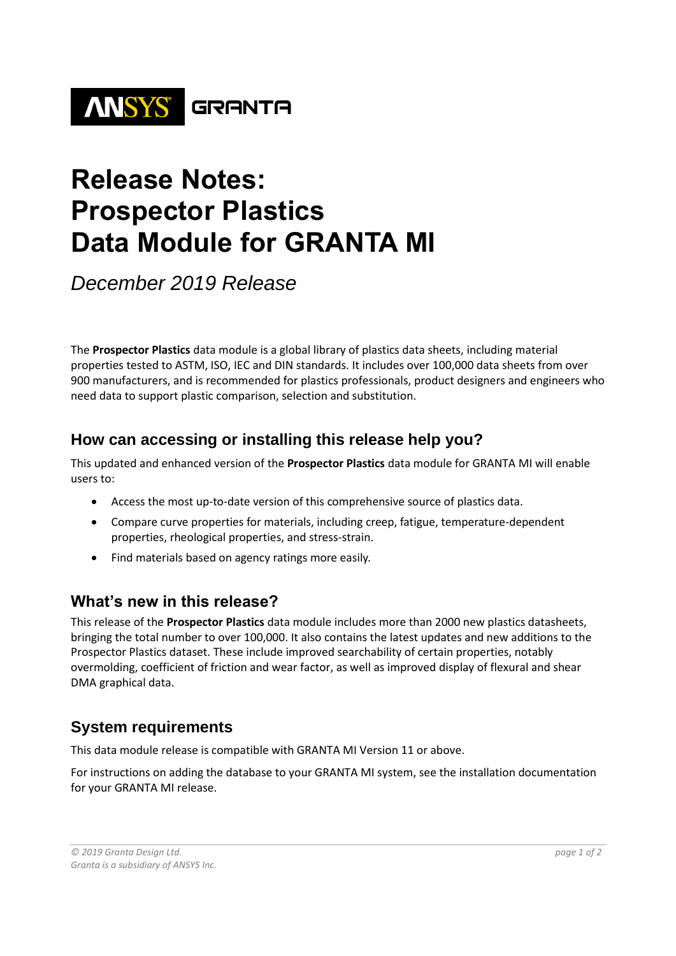

# **Release Notes: Prospector Plastics Data Module for GRANTA MI**

*December 2019 Release*

The **Prospector Plastics** data module is a global library of plastics data sheets, including material properties tested to ASTM, ISO, IEC and DIN standards. It includes over 100,000 data sheets from over 900 manufacturers, and is recommended for plastics professionals, product designers and engineers who need data to support plastic comparison, selection and substitution.

#### **How can accessing or installing this release help you?**

This updated and enhanced version of the **Prospector Plastics** data module for GRANTA MI will enable users to:

- Access the most up-to-date version of this comprehensive source of plastics data.
- Compare curve properties for materials, including creep, fatigue, temperature-dependent properties, rheological properties, and stress-strain.
- Find materials based on agency ratings more easily.

## **What's new in this release?**

This release of the **Prospector Plastics** data module includes more than 2000 new plastics datasheets, bringing the total number to over 100,000. It also contains the latest updates and new additions to the Prospector Plastics dataset. These include improved searchability of certain properties, notably overmolding, coefficient of friction and wear factor, as well as improved display of flexural and shear DMA graphical data.

## **System requirements**

This data module release is compatible with GRANTA MI Version 11 or above.

For instructions on adding the database to your GRANTA MI system, see the installation documentation for your GRANTA MI release.